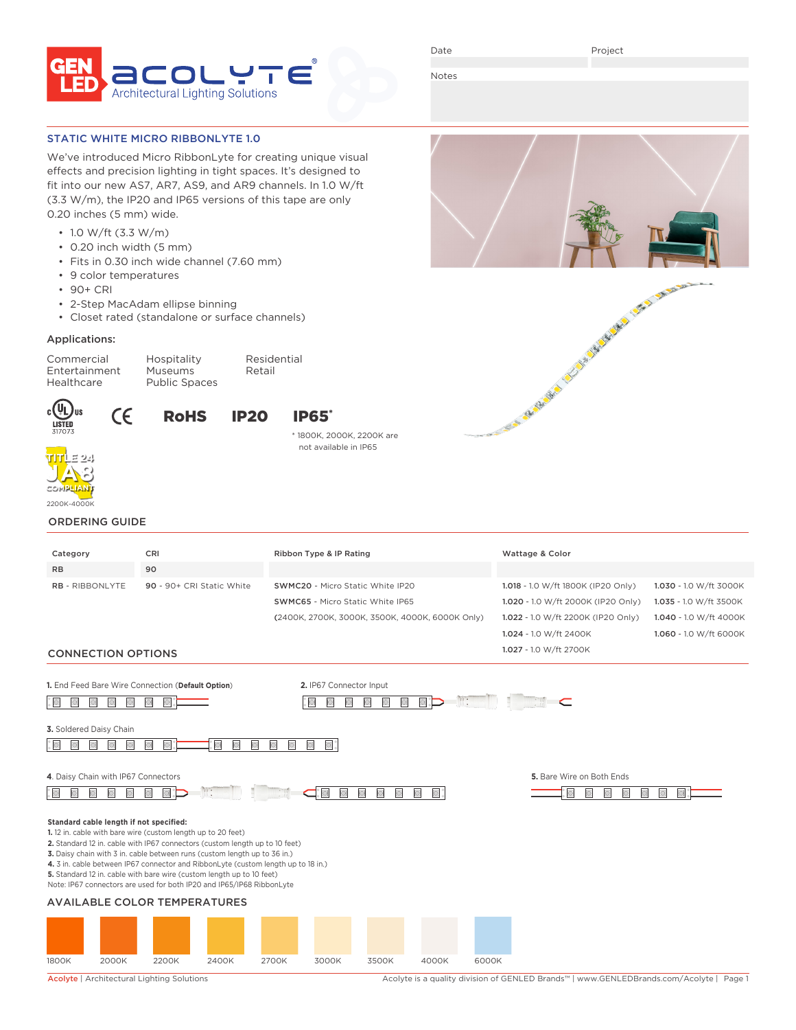

Date

Project

Notes

## STATIC WHITE MICRO RIBBONLYTE 1.0

We've introduced Micro RibbonLyte for creating unique visual effects and precision lighting in tight spaces. It's designed to fit into our new AS7, AR7, AS9, and AR9 channels. In 1.0 W/ft (3.3 W/m), the IP20 and IP65 versions of this tape are only 0.20 inches (5 mm) wide.

- 1.0 W/ft (3.3 W/m)
- 0.20 inch width (5 mm)
- Fits in 0.30 inch wide channel (7.60 mm)
- 9 color temperatures

 $\epsilon$ 

- 90+ CRI
- 2-Step MacAdam ellipse binning
- Closet rated (standalone or surface channels)

### Applications:

Commercial Hospitality Residential Entertainment Healthcare Public Spaces





\* 1800K, 2000K, 2200K are not available in IP65



**TITLE 24**

# ORDERING GUIDE

| Category                                | CRI                                                                                                                                                                                                                                                                                                                                                                                                                                                             | Ribbon Type & IP Rating                         | Wattage & Color                    |                        |
|-----------------------------------------|-----------------------------------------------------------------------------------------------------------------------------------------------------------------------------------------------------------------------------------------------------------------------------------------------------------------------------------------------------------------------------------------------------------------------------------------------------------------|-------------------------------------------------|------------------------------------|------------------------|
| <b>RB</b>                               | 90                                                                                                                                                                                                                                                                                                                                                                                                                                                              |                                                 |                                    |                        |
| <b>RB - RIBBONLYTE</b>                  | 90 - 90+ CRI Static White                                                                                                                                                                                                                                                                                                                                                                                                                                       | SWMC20 - Micro Static White IP20                | 1.018 - 1.0 W/ft 1800K (IP20 Only) | 1.030 - 1.0 W/ft 3000K |
|                                         |                                                                                                                                                                                                                                                                                                                                                                                                                                                                 | <b>SWMC65</b> - Micro Static White IP65         | 1.020 - 1.0 W/ft 2000K (IP20 Only) | 1.035 - 1.0 W/ft 3500K |
|                                         |                                                                                                                                                                                                                                                                                                                                                                                                                                                                 | (2400K, 2700K, 3000K, 3500K, 4000K, 6000K Only) | 1.022 - 1.0 W/ft 2200K (IP20 Only) | 1.040 - 1.0 W/ft 4000K |
|                                         |                                                                                                                                                                                                                                                                                                                                                                                                                                                                 |                                                 | 1.024 - 1.0 W/ft 2400K             | 1.060 - 1.0 W/ft 6000K |
| <b>CONNECTION OPTIONS</b>               |                                                                                                                                                                                                                                                                                                                                                                                                                                                                 |                                                 | 1.027 - 1.0 W/ft 2700K             |                        |
|                                         | 1. End Feed Bare Wire Connection (Default Option)                                                                                                                                                                                                                                                                                                                                                                                                               | 2. IP67 Connector Input                         | C                                  |                        |
| 3. Soldered Daisy Chain                 |                                                                                                                                                                                                                                                                                                                                                                                                                                                                 |                                                 |                                    |                        |
| 4. Daisy Chain with IP67 Connectors     |                                                                                                                                                                                                                                                                                                                                                                                                                                                                 |                                                 | 5. Bare Wire on Both Ends          |                        |
|                                         | $\mathbb{R}$ :                                                                                                                                                                                                                                                                                                                                                                                                                                                  | o.                                              |                                    |                        |
| Standard cable length if not specified: | 1. 12 in. cable with bare wire (custom length up to 20 feet)<br>2. Standard 12 in. cable with IP67 connectors (custom length up to 10 feet)<br>3. Daisy chain with 3 in. cable between runs (custom length up to 36 in.)<br>4. 3 in. cable between IP67 connector and RibbonLyte (custom length up to 18 in.)<br>5. Standard 12 in. cable with bare wire (custom length up to 10 feet)<br>Note: IP67 connectors are used for both IP20 and IP65/IP68 RibbonLyte |                                                 |                                    |                        |
|                                         | <b>AVAILABLE COLOR TEMPERATURES</b>                                                                                                                                                                                                                                                                                                                                                                                                                             |                                                 |                                    |                        |
|                                         |                                                                                                                                                                                                                                                                                                                                                                                                                                                                 |                                                 |                                    |                        |



Acolyte | Architectural Lighting Solutions Acolyte is a quality division of GENLED Brands™ | www.GENLEDBrands.com/Acolyte | Page 1

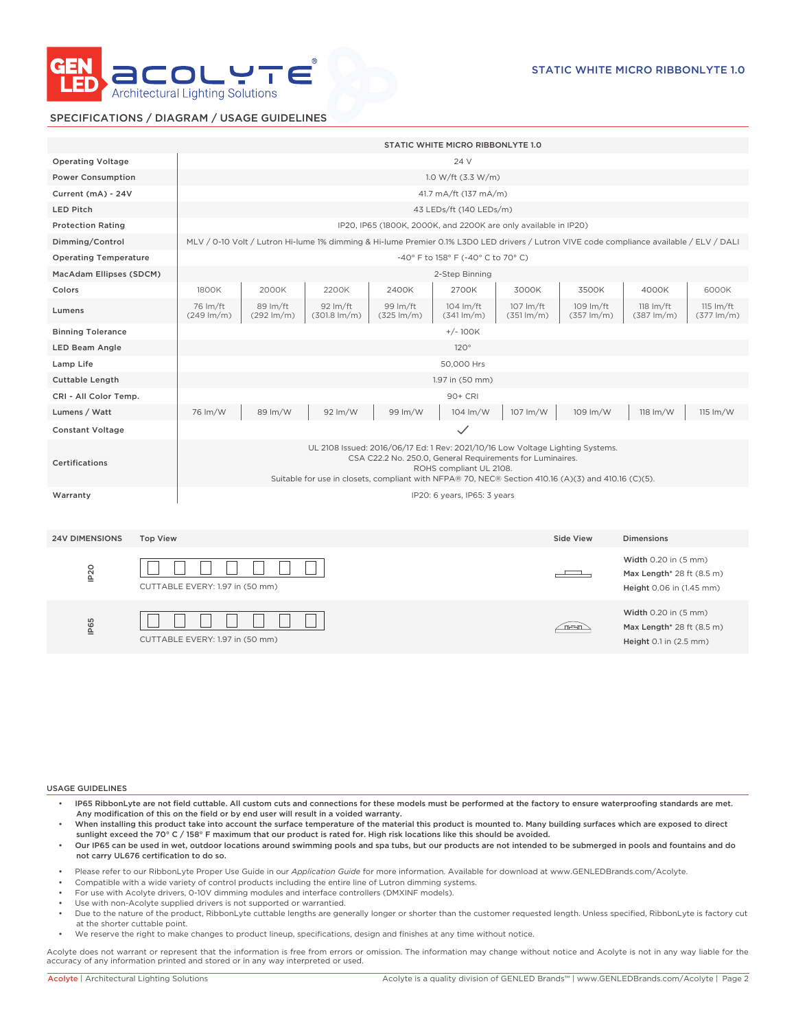

# SPECIFICATIONS / DIAGRAM / USAGE GUIDELINES

|                              |                 |                                  |                                    |                                                |                                                                                                                                                                                                                                                    | STATIC WHITE MICRO RIBBONLYTE 1.0             |                                     |                                   |                                                                               |                                               |
|------------------------------|-----------------|----------------------------------|------------------------------------|------------------------------------------------|----------------------------------------------------------------------------------------------------------------------------------------------------------------------------------------------------------------------------------------------------|-----------------------------------------------|-------------------------------------|-----------------------------------|-------------------------------------------------------------------------------|-----------------------------------------------|
| <b>Operating Voltage</b>     |                 |                                  |                                    |                                                |                                                                                                                                                                                                                                                    | 24 V                                          |                                     |                                   |                                                                               |                                               |
| <b>Power Consumption</b>     |                 |                                  |                                    |                                                |                                                                                                                                                                                                                                                    | 1.0 W/ft $(3.3 W/m)$                          |                                     |                                   |                                                                               |                                               |
| Current (mA) - 24V           |                 |                                  |                                    |                                                |                                                                                                                                                                                                                                                    | 41.7 mA/ft (137 mA/m)                         |                                     |                                   |                                                                               |                                               |
| <b>LED Pitch</b>             |                 |                                  |                                    |                                                |                                                                                                                                                                                                                                                    | 43 LEDs/ft (140 LEDs/m)                       |                                     |                                   |                                                                               |                                               |
| <b>Protection Rating</b>     |                 |                                  |                                    |                                                | IP20, IP65 (1800K, 2000K, and 2200K are only available in IP20)                                                                                                                                                                                    |                                               |                                     |                                   |                                                                               |                                               |
| Dimming/Control              |                 |                                  |                                    |                                                | MLV / 0-10 Volt / Lutron Hi-lume 1% dimming & Hi-lume Premier 0.1% L3D0 LED drivers / Lutron VIVE code compliance available / ELV / DALI                                                                                                           |                                               |                                     |                                   |                                                                               |                                               |
| <b>Operating Temperature</b> |                 |                                  |                                    |                                                |                                                                                                                                                                                                                                                    | -40° F to 158° F (-40° C to 70° C)            |                                     |                                   |                                                                               |                                               |
| MacAdam Ellipses (SDCM)      |                 |                                  |                                    |                                                |                                                                                                                                                                                                                                                    | 2-Step Binning                                |                                     |                                   |                                                                               |                                               |
| Colors                       |                 | 1800K                            | 2000K                              | 2200K                                          | 2400K                                                                                                                                                                                                                                              | 2700K                                         | 3000K                               | 3500K                             | 4000K                                                                         | 6000K                                         |
| Lumens                       |                 | 76 Im/ft<br>$(249 \text{ lm/m})$ | 89 lm/ft<br>$(292 \, \text{Im/m})$ | $92 \, \text{Im/ft}$<br>$(301.8 \text{ Im/m})$ | 99 Im/ft<br>$(325 \text{ Im/m})$                                                                                                                                                                                                                   | $104 \text{ Im/ft}$<br>$(341 \, \text{Im/m})$ | 107 lm/ft<br>$(351 \, \text{Im/m})$ | 109 lm/ft<br>$(357 \text{ lm/m})$ | $118 \text{ Im/ft}$<br>$(387 \text{ lm/m})$                                   | $115 \text{ Im/ft}$<br>$(377 \, \text{Im/m})$ |
| <b>Binning Tolerance</b>     |                 |                                  |                                    |                                                |                                                                                                                                                                                                                                                    | $+/- 100K$                                    |                                     |                                   |                                                                               |                                               |
| <b>LED Beam Angle</b>        |                 |                                  |                                    |                                                |                                                                                                                                                                                                                                                    | 120°                                          |                                     |                                   |                                                                               |                                               |
| Lamp Life                    |                 |                                  |                                    |                                                |                                                                                                                                                                                                                                                    | 50,000 Hrs                                    |                                     |                                   |                                                                               |                                               |
| <b>Cuttable Length</b>       |                 |                                  |                                    |                                                |                                                                                                                                                                                                                                                    | 1.97 in (50 mm)                               |                                     |                                   |                                                                               |                                               |
| CRI - All Color Temp.        |                 |                                  |                                    |                                                |                                                                                                                                                                                                                                                    | 90+ CRI                                       |                                     |                                   |                                                                               |                                               |
| Lumens / Watt                |                 | 76 lm/W                          | 89 lm/W                            | 92 lm/W                                        | 99 lm/W                                                                                                                                                                                                                                            | 104 lm/W                                      | 107 lm/W                            | 109 lm/W                          | 118 lm/W                                                                      | $115 \, \text{Im}/\text{W}$                   |
| <b>Constant Voltage</b>      |                 |                                  |                                    |                                                |                                                                                                                                                                                                                                                    | $\checkmark$                                  |                                     |                                   |                                                                               |                                               |
| Certifications               |                 |                                  |                                    |                                                | UL 2108 Issued: 2016/06/17 Ed: 1 Rev: 2021/10/16 Low Voltage Lighting Systems.<br>CSA C22.2 No. 250.0, General Requirements for Luminaires.<br>Suitable for use in closets, compliant with NFPA® 70, NEC® Section 410.16 (A)(3) and 410.16 (C)(5). | ROHS compliant UL 2108.                       |                                     |                                   |                                                                               |                                               |
| Warranty                     |                 |                                  |                                    |                                                |                                                                                                                                                                                                                                                    | IP20: 6 years, IP65: 3 years                  |                                     |                                   |                                                                               |                                               |
| <b>24V DIMENSIONS</b>        | <b>Top View</b> |                                  |                                    |                                                |                                                                                                                                                                                                                                                    |                                               |                                     | Side View                         | <b>Dimensions</b>                                                             |                                               |
| IP <sub>20</sub>             |                 | CUTTABLE EVERY: 1.97 in (50 mm)  |                                    |                                                |                                                                                                                                                                                                                                                    |                                               |                                     |                                   | Width 0.20 in (5 mm)<br>Max Length* 28 ft (8.5 m)<br>Height 0.06 in (1.45 mm) |                                               |
| IP65                         |                 | CUTTABLE EVERY: 1.97 in (50 mm)  |                                    |                                                |                                                                                                                                                                                                                                                    |                                               |                                     | n-n                               | Width 0.20 in (5 mm)<br>Max Length* 28 ft (8.5 m)<br>Height 0.1 in (2.5 mm)   |                                               |

USAGE GUIDELINES

- IP65 RibbonLyte are not field cuttable. All custom cuts and connections for these models must be performed at the factory to ensure waterproofing standards are met. Any modification of this on the field or by end user will result in a voided warranty.
- When installing this product take into account the surface temperature of the material this product is mounted to. Many building surfaces which are exposed to direct sunlight exceed the 70° C / 158° F maximum that our product is rated for. High risk locations like this should be avoided.
- Our IP65 can be used in wet, outdoor locations around swimming pools and spa tubs, but our products are not intended to be submerged in pools and fountains and do not carry UL676 certification to do so.
- Please refer to our RibbonLyte Proper Use Guide in our *Application Guide* for more information. Available for download at www.GENLEDBrands.com/Acolyte.
- Compatible with a wide variety of control products including the entire line of Lutron dimming systems.
- For use with Acolyte drivers, 0-10V dimming modules and interface controllers (DMXINF models).
- Use with non-Acolyte supplied drivers is not supported or warrantied.
- Due to the nature of the product, RibbonLyte cuttable lengths are generally longer or shorter than the customer requested length. Unless specified, RibbonLyte is factory cut at the shorter cuttable point.
- We reserve the right to make changes to product lineup, specifications, design and finishes at any time without notice.

Acolyte does not warrant or represent that the information is free from errors or omission. The information may change without notice and Acolyte is not in any way liable for the accuracy of any information printed and stored or in any way interpreted or used.